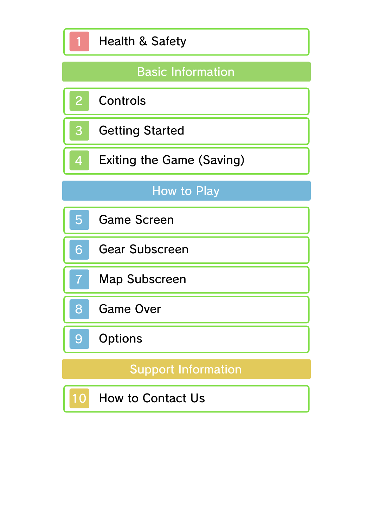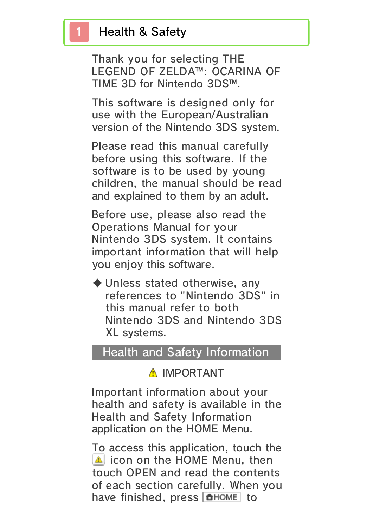## Health & Safety

Thank you for selecting THE LEGEND OF ZELDA™: OCARINA OF TIME 3D for Nintendo 3DS™.

This software is designed only for use with the European/Australian version of the Nintendo 3DS system.

Please read this manual carefully before using this software. If the software is to be used by young children, the manual should be read and explained to them by an adult.

Before use, please also read the Operations Manual for your Nintendo 3DS system. It contains important information that will help you enjoy this software.

 $\blacklozenge$  Unless stated otherwise, any references to "Nintendo 3DS" in this manual refer to both Nintendo 3DS and Nintendo 3DS XL systems.

#### Health and Safety Information

### A IMPORTANT

Important information about your health and safety is available in the Health and Safety Information application on the HOME Menu.

To access this application, touch the **in i**con on the HOME Menu, then touch OPEN and read the contents of each section carefully. When you have finished, press **ALLANDE** to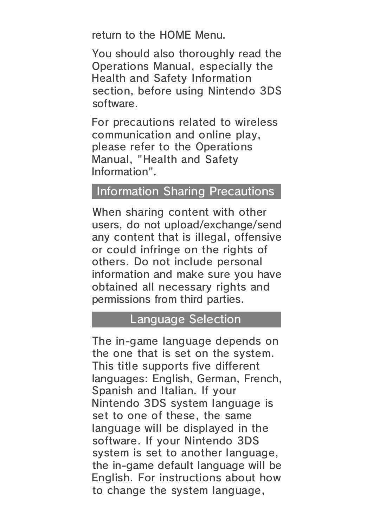return to the HOME Menu.

You should also thoroughly read the Operations Manual, especially the Health and Safety Information section, before using Nintendo 3DS software.

For precautions related to wireless communication and online play, please refer to the Operations Manual, "Health and Safety Information".

#### Information Sharing Precautions

When sharing content with other users, do not upload/exchange/send any content that is illegal, offensive or could infringe on the rights of others. Do not include personal information and make sure you have obtained all necessary rights and permissions from third parties.

#### Language Selection

The in-game language depends on the one that is set on the system. This title supports five different languages: English, German, French, Spanish and Italian. If your Nintendo 3DS system language is set to one of these, the same language will be displayed in the software. If your Nintendo 3DS system is set to another language, the in-game default language will be English. For instructions about how to change the system language,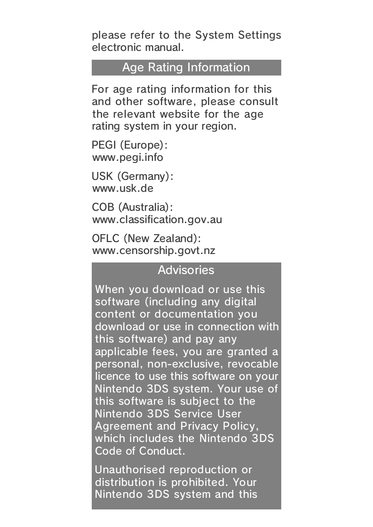please refer to the System Settings electronic manual.

#### Age Rating Information

For age rating information for this and other software, please consult the relevant website for the age rating system in your region.

www.pegi.info PEGI (Europe):

USK (Germany): www.usk.de

COB (Australia): www.classification.gov.au

OFLC (New Zealand): www.censorship.govt.nz

#### **Advisories**

When you download or use this software (including any digital content or documentation you download or use in connection with this software) and pay any applicable fees, you are granted a personal, non-exclusive, revocable licence to use this software on your Nintendo 3DS system. Your use of this software is subject to the Nintendo 3DS Service User Agreement and Privacy Policy, which includes the Nintendo 3DS Code of Conduct.

Unauthorised reproduction or distribution is prohibited. Your Nintendo 3DS system and this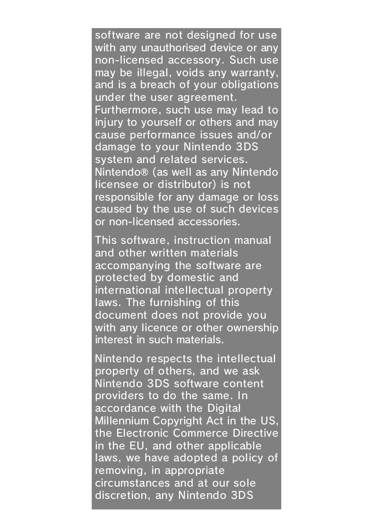software are not designed for use with any unauthorised device or any non-licensed accessory. Such use may be illegal, voids any warranty, and is a breach of your obligations under the user agreement. Furthermore, such use may lead to injury to yourself or others and may cause performance issues and/or damage to your Nintendo 3DS system and related services. Nintendo® (as well as any Nintendo licensee or distributor) is not responsible for any damage or loss caused by the use of such devices or non-licensed accessories.

This software, instruction manual and other written materials accompanying the software are protected by domestic and international intellectual property laws. The furnishing of this document does not provide you with any licence or other ownership interest in such materials.

Nintendo respects the intellectual property of others, and we ask Nintendo 3DS software content providers to do the same. In accordance with the Digital Millennium Copyright Act in the US, the Electronic Commerce Directive in the EU, and other applicable laws, we have adopted a policy of removing, in appropriate circumstances and at our sole discretion, any Nintendo 3DS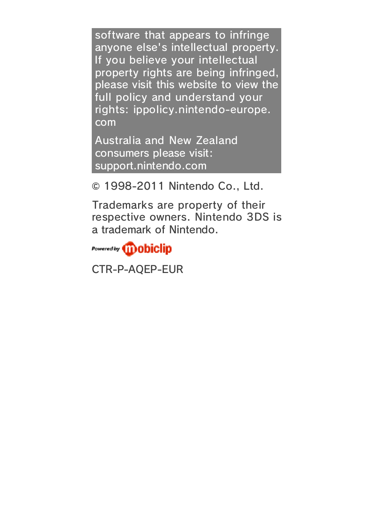software that appears to infringe anyone else's intellectual property. If you believe your intellectual property rights are being infringed, please visit this website to view the full policy and understand your rights: ippolicy.nintendo-europe. com

Australia and New Zealand consumers please visit: support.nintendo.com

© 1998-2011 Nintendo Co., Ltd.

Trademarks are property of their respective owners. Nintendo 3DS is a trademark of Nintendo.

Powered by *iii* **obiclip** 

CTR-P-AQEP-EUR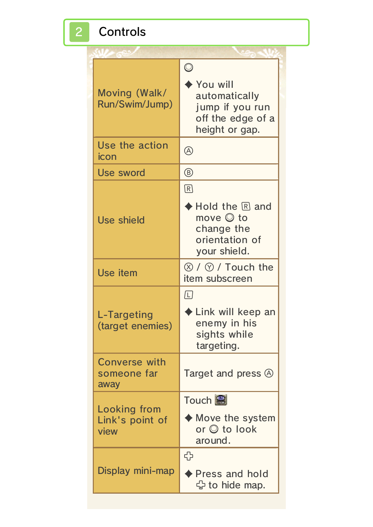# 2 Controls

| Moving (Walk/<br>Run/Swim/Jump)                | $\bigcirc$<br>▶ You will<br>automatically<br>jump if you run<br>off the edge of a<br>height or gap.                  |
|------------------------------------------------|----------------------------------------------------------------------------------------------------------------------|
| Use the action<br>icon                         | A)                                                                                                                   |
| Use sword                                      | $^{\circledR}$                                                                                                       |
| <b>Use shield</b>                              | $\boxed{R}$<br>$\blacklozenge$ Hold the $\mathbb R$ and<br>move © to<br>change the<br>orientation of<br>your shield. |
| Use item                                       | $\otimes$ / $\otimes$ / Touch the<br>item subscreen                                                                  |
| L-Targeting<br>(target enemies)                | $\Box$<br>$\blacklozenge$ Link will keep an<br>enemy in his<br>sights while<br>targeting.                            |
| Converse with<br>someone far<br>away           | Target and press A                                                                                                   |
| <b>Looking from</b><br>Link's point of<br>view | Touch <b>B</b><br>$\blacklozenge$ Move the system<br>or © to look<br>around.                                         |
| Display mini-map                               | ↔<br>$\blacklozenge$ Press and hold<br>G to hide map.                                                                |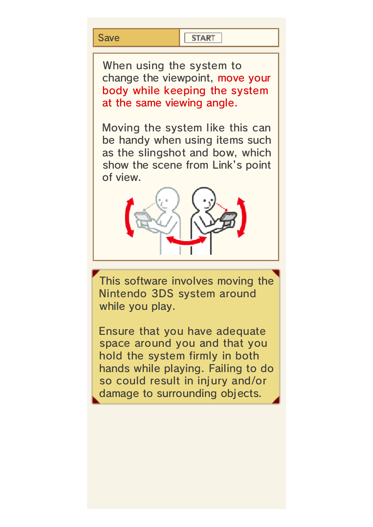#### **Save**

#### **START**

When using the system to change the viewpoint, move your body while keeping the system at the same viewing angle.

Moving the system like this can be handy when using items such as the slingshot and bow, which show the scene from Link's point of view.



while you play. Nintendo 3DS system around This software involves moving the

damage to surrounding objects. so could result in injury and/or hands while playing. Failing to do hold the system firmly in both space around you and that you Ensure that you have adequate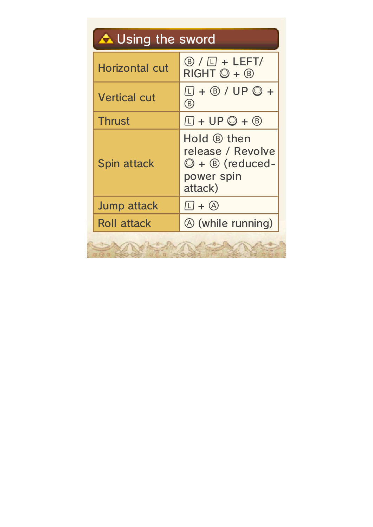| <b>A</b> Using the sword |                                                                                                    |
|--------------------------|----------------------------------------------------------------------------------------------------|
| <b>Horizontal cut</b>    | $\left(\mathbb{B}\right)/\left[\square\right]$ + LEFT/<br>$RIGHT$ $\odot$ + $\circledR$            |
| <b>Vertical cut</b>      | $\Box$ + $\circledR$ / UP $\circledR$ +<br>(B)                                                     |
| <b>Thrust</b>            | $\Box$ + UP $\bigcirc$ + $\circledR$                                                               |
| Spin attack              | Hold ® then<br>release / Revolve<br>$\bigcirc$ + $\circledcirc$ (reduced-<br>power spin<br>attack) |
| <b>Jump attack</b>       | $\Box$ + $\bigcirc$                                                                                |
| <b>Roll attack</b>       | <b>A</b> (while running)                                                                           |
|                          |                                                                                                    |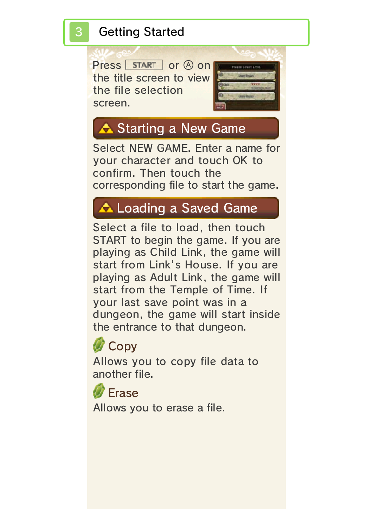#### **Getting Started**

Press START or 4 on the title screen to vie w the file selectio n screen .



## **A** Starting a New Game

Select NEW GAME. Enter a name for your character and touch OK to confirm. Then touch the corresponding file to start the game.

## **A Loading a Saved Game**

Select a file to load, then touch START to begin the game. If you are playing as Child Link, the game will start from Link's House. If you are playing as Adult Link, the game will start from the Temple of Time. If your last save point was in a dungeon, the game will start inside the entrance to that dungeon.



Allows you to copy file data to another file.

Allows you to erase a file. *C* Erase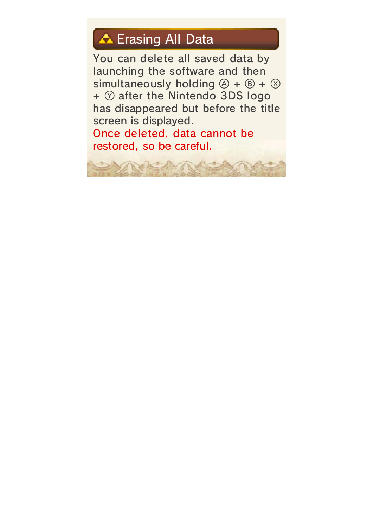## **A** Erasing All Data

You can delete all saved data by launching the software and then simultaneously holding  $\textcircled{a} + \textcircled{b} + \textcircled{c}$  $+$   $\circledcirc$  after the Nintendo 3DS logo has disappeared but before the title screen is displayed.

Once deleted, data cannot be restored, so be careful.

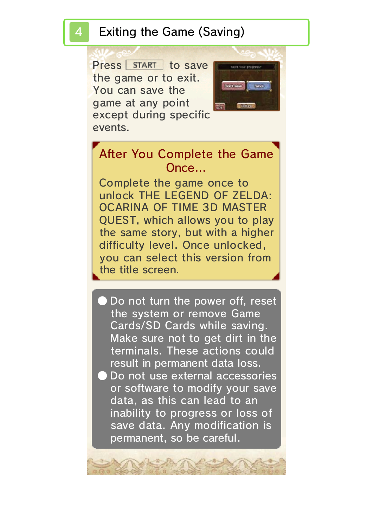#### Exiting the Game (Saving)

Press START to save the game or to exit . You can save th e game at any poin t except during specif ic events.



### Once… After You Complete the Game

the title screen. you can select this version from difficulty level. Once unlocked, the same story, but with a higher QUEST, which allows you to play OCARINA OF TIME 3D MASTER unlock THE LEGEND OF ZELDA: Complete the game once to

Do not use external accessories result in permanent data loss. terminals. These actions could Make sure not to get dirt in the Cards/SD Cards while saving. the system or remove Game Do not turn the power off, reset

permanent, so be careful. save data. Any modification is inability to progress or loss of data, as this can lead to an or software to modify your save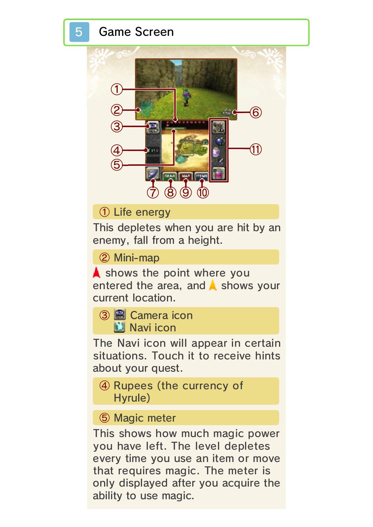#### 5 Game Screen



① Life energy

This depletes when you are hit by an enemy, fall from a height.

② Mini-map

shows the point where you entered the area, and  $\triangle$  shows your current location.



The Navi icon will appear in certain situations. Touch it to receive hints about your quest.

④ Rupees (the currency of Hyrule)

#### ⑤ Magic meter

This shows how much magic power you have left. The level depletes every time you use an item or move that requires magic. The meter is only displayed after you acquire the ability to use magic.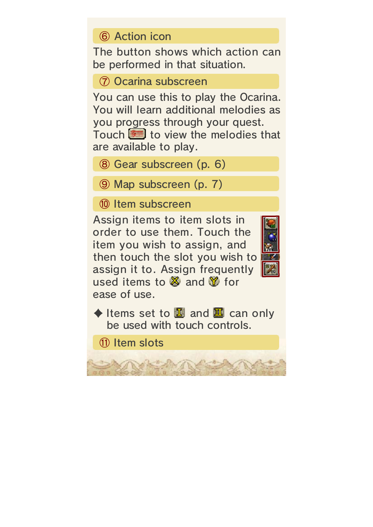⑥ Action icon

The button shows which action can be performed in that situation.

⑦ Ocarina subscreen

You can use this to play the Ocarina. You will learn additional melodies as you progress through your quest. Touch  $\equiv$  to view the melodies that

are available to play.

- ⑧ Gear subscreen (p. 6)
- ⑨ Map subscreen (p. 7)
- ⑩ Item subscreen

Assign items to item slots i n order to use them. Touch th e item you wish to assign, an d then touch the slot you wish to assign it to. Assign frequentl y used items to  $\mathbb X$  and  $\mathbb Y$  for ease of use.



 $\blacklozenge$  Items set to  $\mathbb E$  and  $\mathbb E$  can only be used with touch controls.

⑪ Item slots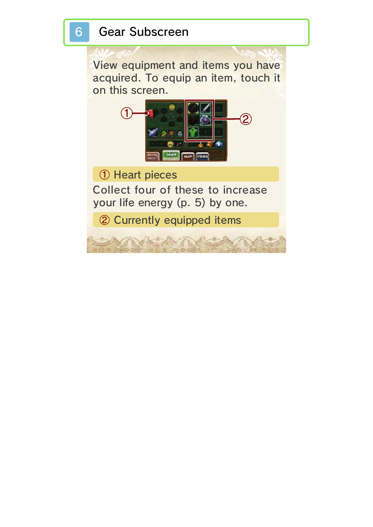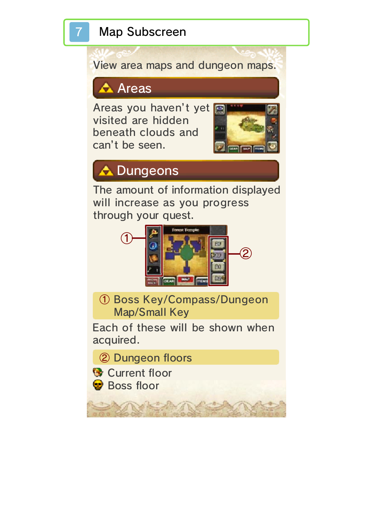## **Map Subscreen**

View area maps and dungeon maps.

## $\triangle$  Areas

Areas you haven't y et visited are hidde n beneath clouds an d can't be seen .



## **A** Dungeons

The amount of information displayed will increase as you progress through your quest.



① Boss Key/Compass/Dungeon Map/Small Key

Each of these will be shown when acquired.

② Dungeon floors

<sup><sup>3</sup></sup> Current floor **Boss floor**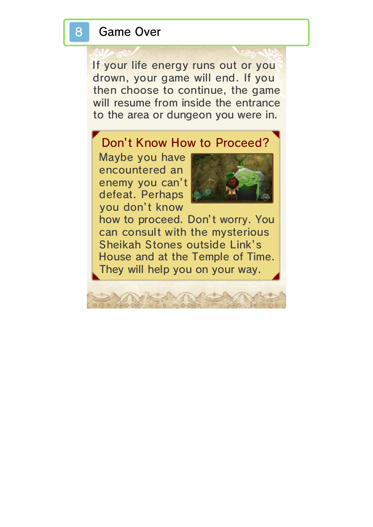#### 8 Game Over

If your life energy runs out or you drown, your game will end. If you then choose to continue, the game will resume from inside the entrance to the area or dungeon you were in.

#### Don't Know How to Proceed?

you don't know defeat. Perhaps enemy you can't encountered an Maybe you have



They will help you on your way. House and at the Temple of Time. Sheikah Stones outside Link's can consult with the mysterious how to proceed. Don't worry. You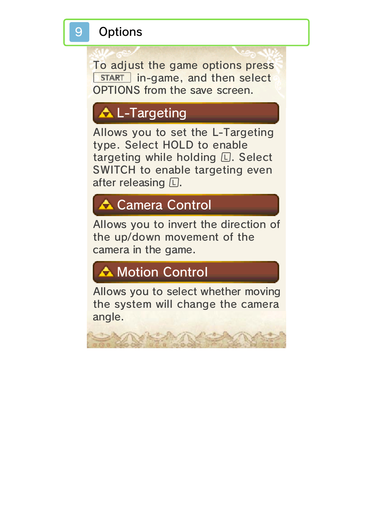

### **Options**

To adjust the game options press **I** START in-game, and then select OPTIONS from the save screen.

## **AL-Targeting**

Allows you to set the L-Targeting type. Select HOLD to enable targeting while holding  $\square$ . Select SWITCH to enable targeting even after releasing  $\square$ .

## **A** Camera Control

Allows you to invert the direction of the up/down movement of the camera in the game.

# Motion Control

Allows you to select whether moving the system will change the camera angle.